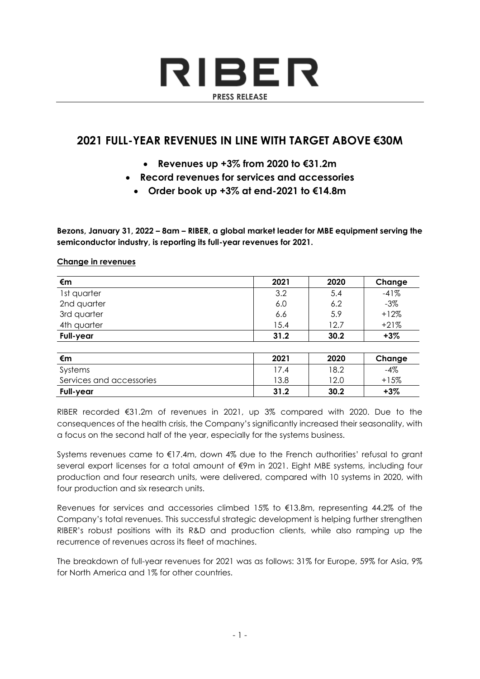# RIBER **PRESS RELEASE**

## **2021 FULL-YEAR REVENUES IN LINE WITH TARGET ABOVE €30M**

- **Revenues up +3% from 2020 to €31.2m**
- **Record revenues for services and accessories**
	- **Order book up +3% at end-2021 to €14.8m**

**Bezons, January 31, 2022 – 8am – RIBER, a global market leader for MBE equipment serving the semiconductor industry, is reporting its full-year revenues for 2021.**

| €m                       | 2021 | 2020 | Change |
|--------------------------|------|------|--------|
| 1st quarter              | 3.2  | 5.4  | $-41%$ |
| 2nd quarter              | 6.0  | 6.2  | $-3\%$ |
| 3rd quarter              | 6.6  | 5.9  | $+12%$ |
| 4th quarter              | 15.4 | 12.7 | $+21%$ |
| Full-year                | 31.2 | 30.2 | $+3%$  |
|                          |      |      |        |
| €m                       | 2021 | 2020 | Change |
| Systems                  | 17.4 | 18.2 | $-4%$  |
| Services and accessories | 13.8 | 12.0 | $+15%$ |
| <b>Full-year</b>         | 31.2 | 30.2 | $+3%$  |

#### **Change in revenues**

RIBER recorded €31.2m of revenues in 2021, up 3% compared with 2020. Due to the consequences of the health crisis, the Company's significantly increased their seasonality, with a focus on the second half of the year, especially for the systems business.

Systems revenues came to €17.4m, down 4% due to the French authorities' refusal to grant several export licenses for a total amount of €9m in 2021. Eight MBE systems, including four production and four research units, were delivered, compared with 10 systems in 2020, with four production and six research units.

Revenues for services and accessories climbed 15% to €13.8m, representing 44.2% of the Company's total revenues. This successful strategic development is helping further strengthen RIBER's robust positions with its R&D and production clients, while also ramping up the recurrence of revenues across its fleet of machines.

The breakdown of full-year revenues for 2021 was as follows: 31% for Europe, 59% for Asia, 9% for North America and 1% for other countries.